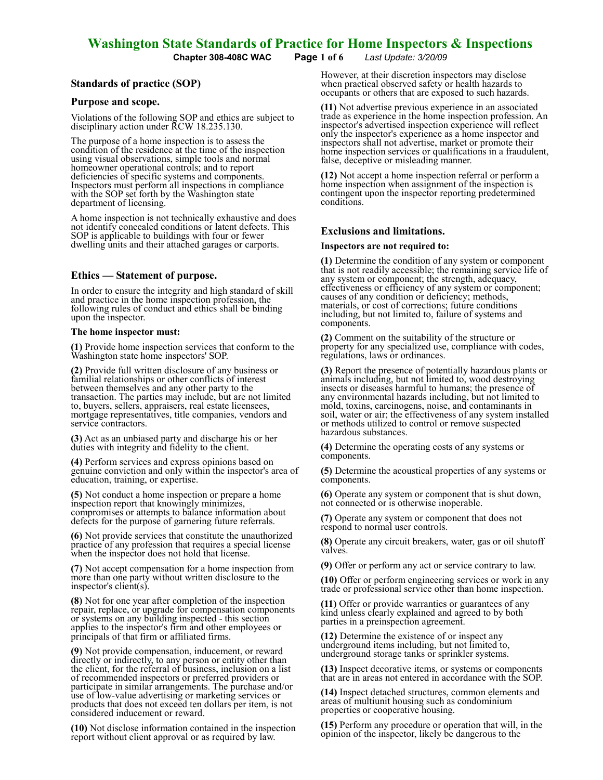Chapter 308-408C WAC Page 1 of 6 Last Update: 3/20/09

## Standards of practice (SOP)

#### Purpose and scope.

Violations of the following SOP and ethics are subject to disciplinary action under RCW 18.235.130.

The purpose of a home inspection is to assess the condition of the residence at the time of the inspection using visual observations, simple tools and normal homeowner operational controls; and to report deficiencies of specific systems and components. Inspectors must perform all inspections in compliance with the SOP set forth by the Washington state department of licensing.

A home inspection is not technically exhaustive and does not identify concealed conditions or latent defects. This SOP is applicable to buildings with four or fewer dwelling units and their attached garages or carports.

## Ethics — Statement of purpose.

In order to ensure the integrity and high standard of skill and practice in the home inspection profession, the following rules of conduct and ethics shall be binding upon the inspector.

#### The home inspector must:

(1) Provide home inspection services that conform to the Washington state home inspectors' SOP.

(2) Provide full written disclosure of any business or familial relationships or other conflicts of interest between themselves and any other party to the transaction. The parties may include, but are not limited to, buyers, sellers, appraisers, real estate licensees, mortgage representatives, title companies, vendors and service contractors.

(3) Act as an unbiased party and discharge his or her duties with integrity and fidelity to the client.

(4) Perform services and express opinions based on genuine conviction and only within the inspector's area of education, training, or expertise.

(5) Not conduct a home inspection or prepare a home inspection report that knowingly minimizes, compromises or attempts to balance information about defects for the purpose of garnering future referrals.

(6) Not provide services that constitute the unauthorized practice of any profession that requires a special license when the inspector does not hold that license.

(7) Not accept compensation for a home inspection from more than one party without written disclosure to the inspector's client(s).

(8) Not for one year after completion of the inspection repair, replace, or upgrade for compensation components or systems on any building inspected - this section applies to the inspector's firm and other employees or principals of that firm or affiliated firms.

(9) Not provide compensation, inducement, or reward directly or indirectly, to any person or entity other than the client, for the referral of business, inclusion on a list of recommended inspectors or preferred providers or participate in similar arrangements. The purchase and/or use of low-value advertising or marketing services or products that does not exceed ten dollars per item, is not considered inducement or reward.

(10) Not disclose information contained in the inspection report without client approval or as required by law.

However, at their discretion inspectors may disclose when practical observed safety or health hazards to occupants or others that are exposed to such hazards.

(11) Not advertise previous experience in an associated trade as experience in the home inspection profession. An inspector's advertised inspection experience will reflect only the inspector's experience as a home inspector and inspectors shall not advertise, market or promote their home inspection services or qualifications in a fraudulent, false, deceptive or misleading manner.

(12) Not accept a home inspection referral or perform a home inspection when assignment of the inspection is contingent upon the inspector reporting predetermined conditions.

#### Exclusions and limitations.

#### Inspectors are not required to:

(1) Determine the condition of any system or component that is not readily accessible; the remaining service life of any system or component; the strength, adequacy, effectiveness or efficiency of any system or component; causes of any condition or deficiency; methods, materials, or cost of corrections; future conditions including, but not limited to, failure of systems and components.

(2) Comment on the suitability of the structure or property for any specialized use, compliance with codes, regulations, laws or ordinances.

(3) Report the presence of potentially hazardous plants or animals including, but not limited to, wood destroying insects or diseases harmful to humans; the presence of any environmental hazards including, but not limited to mold, toxins, carcinogens, noise, and contaminants in soil, water or air; the effectiveness of any system installed or methods utilized to control or remove suspected hazardous substances.

(4) Determine the operating costs of any systems or components.

(5) Determine the acoustical properties of any systems or components.

(6) Operate any system or component that is shut down, not connected or is otherwise inoperable.

(7) Operate any system or component that does not respond to normal user controls.

(8) Operate any circuit breakers, water, gas or oil shutoff valves.

(9) Offer or perform any act or service contrary to law.

(10) Offer or perform engineering services or work in any trade or professional service other than home inspection.

(11) Offer or provide warranties or guarantees of any kind unless clearly explained and agreed to by both parties in a preinspection agreement.

(12) Determine the existence of or inspect any underground items including, but not limited to, underground storage tanks or sprinkler systems.

(13) Inspect decorative items, or systems or components that are in areas not entered in accordance with the SOP.

(14) Inspect detached structures, common elements and areas of multiunit housing such as condominium properties or cooperative housing.

(15) Perform any procedure or operation that will, in the opinion of the inspector, likely be dangerous to the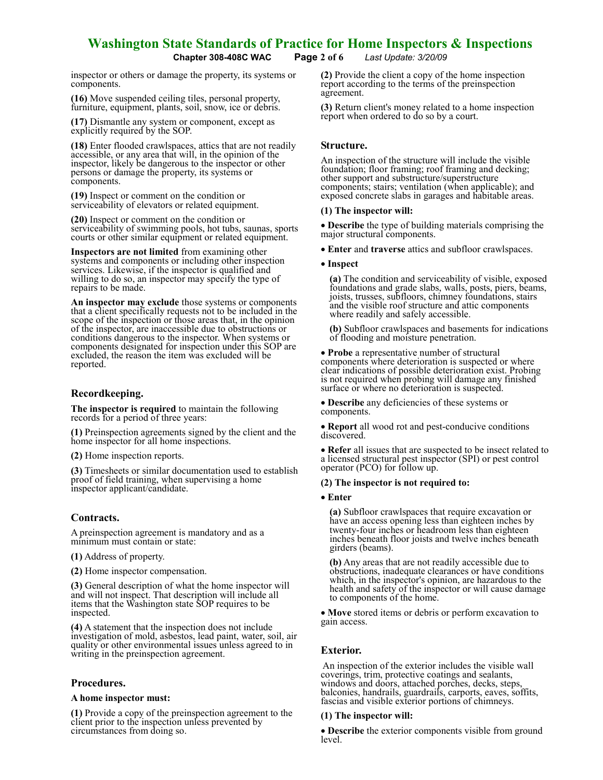Chapter 308-408C WAC Page 2 of 6 Last Update: 3/20/09

inspector or others or damage the property, its systems or components.

(16) Move suspended ceiling tiles, personal property, furniture, equipment, plants, soil, snow, ice or debris.

(17) Dismantle any system or component, except as explicitly required by the SOP.

(18) Enter flooded crawlspaces, attics that are not readily accessible, or any area that will, in the opinion of the inspector, likely be dangerous to the inspector or other persons or damage the property, its systems or components.

(19) Inspect or comment on the condition or serviceability of elevators or related equipment.

(20) Inspect or comment on the condition or serviceability of swimming pools, hot tubs, saunas, sports courts or other similar equipment or related equipment.

Inspectors are not limited from examining other systems and components or including other inspection services. Likewise, if the inspector is qualified and willing to do so, an inspector may specify the type of repairs to be made.

An inspector may exclude those systems or components that a client specifically requests not to be included in the scope of the inspection or those areas that, in the opinion of the inspector, are inaccessible due to obstructions or conditions dangerous to the inspector. When systems or components designated for inspection under this SOP are excluded, the reason the item was excluded will be reported.

## Recordkeeping.

The inspector is required to maintain the following records for a period of three years:

(1) Preinspection agreements signed by the client and the home inspector for all home inspections.

(2) Home inspection reports.

(3) Timesheets or similar documentation used to establish proof of field training, when supervising a home inspector applicant/candidate.

## Contracts.

A preinspection agreement is mandatory and as a minimum must contain or state:

(1) Address of property.

(2) Home inspector compensation.

(3) General description of what the home inspector will and will not inspect. That description will include all items that the Washington state SOP requires to be inspected.

(4) A statement that the inspection does not include investigation of mold, asbestos, lead paint, water, soil, air quality or other environmental issues unless agreed to in writing in the preinspection agreement.

## Procedures.

## A home inspector must:

(1) Provide a copy of the preinspection agreement to the client prior to the inspection unless prevented by circumstances from doing so.

(2) Provide the client a copy of the home inspection report according to the terms of the preinspection agreement.

(3) Return client's money related to a home inspection report when ordered to do so by a court.

## Structure.

An inspection of the structure will include the visible foundation; floor framing; roof framing and decking; other support and substructure/superstructure components; stairs; ventilation (when applicable); and exposed concrete slabs in garages and habitable areas.

## (1) The inspector will:

• Describe the type of building materials comprising the major structural components.

• Enter and traverse attics and subfloor crawlspaces.

## • Inspect

(a) The condition and serviceability of visible, exposed foundations and grade slabs, walls, posts, piers, beams, joists, trusses, subfloors, chimney foundations, stairs and the visible roof structure and attic components where readily and safely accessible.

(b) Subfloor crawlspaces and basements for indications of flooding and moisture penetration.

• **Probe** a representative number of structural components where deterioration is suspected or where clear indications of possible deterioration exist. Probing is not required when probing will damage any finished surface or where no deterioration is suspected.

• Describe any deficiencies of these systems or components.

• Report all wood rot and pest-conducive conditions discovered.

• Refer all issues that are suspected to be insect related to a licensed structural pest inspector (SPI) or pest control operator (PCO) for follow up.

## (2) The inspector is not required to:

#### • Enter

(a) Subfloor crawlspaces that require excavation or have an access opening less than eighteen inches by twenty-four inches or headroom less than eighteen inches beneath floor joists and twelve inches beneath girders (beams).

(b) Any areas that are not readily accessible due to obstructions, inadequate clearances or have conditions which, in the inspector's opinion, are hazardous to the health and safety of the inspector or will cause damage to components of the home.

• Move stored items or debris or perform excavation to gain access.

## Exterior.

 An inspection of the exterior includes the visible wall coverings, trim, protective coatings and sealants, windows and doors, attached porches, decks, steps, balconies, handrails, guardrails, carports, eaves, soffits, fascias and visible exterior portions of chimneys.

## (1) The inspector will:

• Describe the exterior components visible from ground level.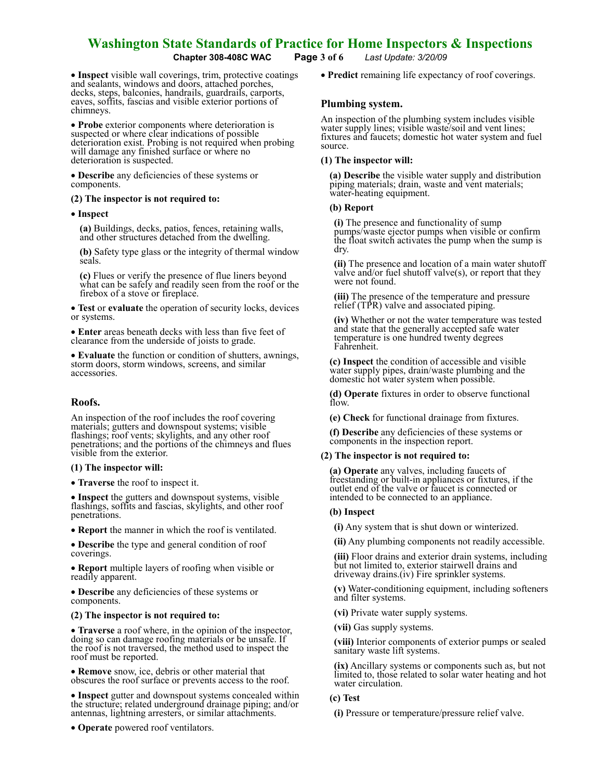Chapter 308-408C WAC Page 3 of 6 Last Update: 3/20/09

• Inspect visible wall coverings, trim, protective coatings and sealants, windows and doors, attached porches, decks, steps, balconies, handrails, guardrails, carports, eaves, soffits, fascias and visible exterior portions of chimneys.

• Probe exterior components where deterioration is suspected or where clear indications of possible deterioration exist. Probing is not required when probing will damage any finished surface or where no deterioration is suspected.

• Describe any deficiencies of these systems or components.

## (2) The inspector is not required to:

#### • Inspect

(a) Buildings, decks, patios, fences, retaining walls, and other structures detached from the dwelling.

(b) Safety type glass or the integrity of thermal window seals.

(c) Flues or verify the presence of flue liners beyond what can be safely and readily seen from the roof or the firebox of a stove or fireplace.

• Test or evaluate the operation of security locks, devices or systems.

• Enter areas beneath decks with less than five feet of clearance from the underside of joists to grade.

• Evaluate the function or condition of shutters, awnings, storm doors, storm windows, screens, and similar accessories.

## Roofs.

An inspection of the roof includes the roof covering materials; gutters and downspout systems; visible flashings; roof vents; skylights, and any other roof penetrations; and the portions of the chimneys and flues visible from the exterior.

#### (1) The inspector will:

• **Traverse** the roof to inspect it.

• Inspect the gutters and downspout systems, visible flashings, soffits and fascias, skylights, and other roof penetrations.

• Report the manner in which the roof is ventilated.

• Describe the type and general condition of roof coverings.

• Report multiple layers of roofing when visible or readily apparent.

• Describe any deficiencies of these systems or components.

#### (2) The inspector is not required to:

• Traverse a roof where, in the opinion of the inspector, doing so can damage roofing materials or be unsafe. If the roof is not traversed, the method used to inspect the roof must be reported.

• **Remove** snow, ice, debris or other material that obscures the roof surface or prevents access to the roof.

• Inspect gutter and downspout systems concealed within the structure; related underground drainage piping; and/or antennas, lightning arresters, or similar attachments.

• **Operate** powered roof ventilators.

• Predict remaining life expectancy of roof coverings.

## Plumbing system.

An inspection of the plumbing system includes visible water supply lines; visible waste/soil and vent lines; fixtures and faucets; domestic hot water system and fuel source.

#### (1) The inspector will:

(a) Describe the visible water supply and distribution piping materials; drain, waste and vent materials; water-heating equipment.

#### (b) Report

(i) The presence and functionality of sump pumps/waste ejector pumps when visible or confirm the float switch activates the pump when the sump is dry.

(ii) The presence and location of a main water shutoff valve and/or fuel shutoff valve $(s)$ , or report that they were not found.

(iii) The presence of the temperature and pressure relief (TPR) valve and associated piping.

(iv) Whether or not the water temperature was tested and state that the generally accepted safe water temperature is one hundred twenty degrees Fahrenheit.

(c) Inspect the condition of accessible and visible water supply pipes, drain/waste plumbing and the domestic hot water system when possible.

(d) Operate fixtures in order to observe functional flow.

(e) Check for functional drainage from fixtures.

(f) Describe any deficiencies of these systems or components in the inspection report.

## (2) The inspector is not required to:

(a) Operate any valves, including faucets of freestanding or built-in appliances or fixtures, if the outlet end of the valve or faucet is connected or intended to be connected to an appliance.

#### (b) Inspect

(i) Any system that is shut down or winterized.

(ii) Any plumbing components not readily accessible.

(iii) Floor drains and exterior drain systems, including but not limited to, exterior stairwell drains and driveway drains.(iv) Fire sprinkler systems.

(v) Water-conditioning equipment, including softeners and filter systems.

(vi) Private water supply systems.

(vii) Gas supply systems.

(viii) Interior components of exterior pumps or sealed sanitary waste lift systems.

(ix) Ancillary systems or components such as, but not limited to, those related to solar water heating and hot water circulation.

#### (c) Test

(i) Pressure or temperature/pressure relief valve.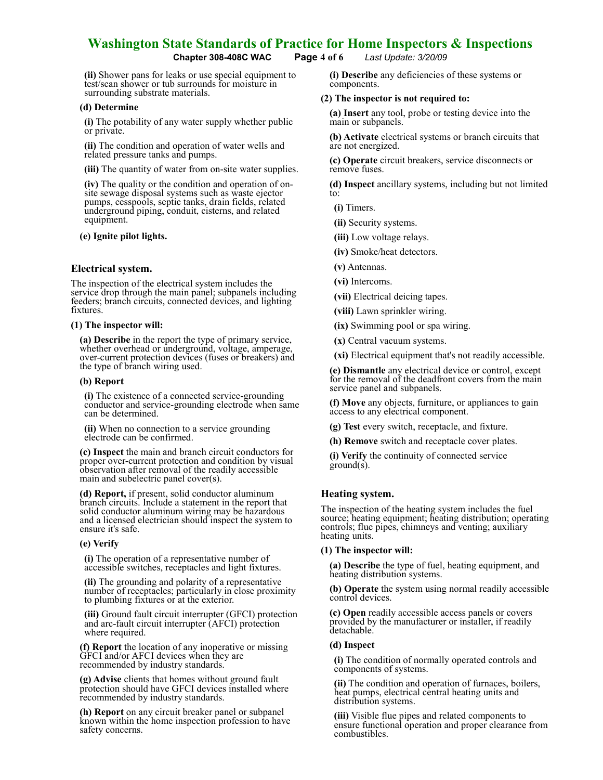## Chapter 308-408C WAC Page 4 of 6 Last Update: 3/20/09

(ii) Shower pans for leaks or use special equipment to test/scan shower or tub surrounds for moisture in surrounding substrate materials.

#### (d) Determine

(i) The potability of any water supply whether public or private.

(ii) The condition and operation of water wells and related pressure tanks and pumps.

(iii) The quantity of water from on-site water supplies.

(iv) The quality or the condition and operation of onsite sewage disposal systems such as waste ejector pumps, cesspools, septic tanks, drain fields, related underground piping, conduit, cisterns, and related equipment.

## (e) Ignite pilot lights.

## Electrical system.

The inspection of the electrical system includes the service drop through the main panel; subpanels including feeders; branch circuits, connected devices, and lighting fixtures.

#### (1) The inspector will:

(a) Describe in the report the type of primary service, whether overhead or underground, voltage, amperage, over-current protection devices (fuses or breakers) and the type of branch wiring used.

#### (b) Report

(i) The existence of a connected service-grounding conductor and service-grounding electrode when same can be determined.

(ii) When no connection to a service grounding electrode can be confirmed.

(c) Inspect the main and branch circuit conductors for proper over-current protection and condition by visual observation after removal of the readily accessible main and subelectric panel cover(s).

(d) Report, if present, solid conductor aluminum branch circuits. Include a statement in the report that solid conductor aluminum wiring may be hazardous and a licensed electrician should inspect the system to ensure it's safe.

## (e) Verify

(i) The operation of a representative number of accessible switches, receptacles and light fixtures.

(ii) The grounding and polarity of a representative number of receptacles; particularly in close proximity to plumbing fixtures or at the exterior.

(iii) Ground fault circuit interrupter (GFCI) protection and arc-fault circuit interrupter (AFCI) protection where required.

(f) Report the location of any inoperative or missing GFCI and/or AFCI devices when they are recommended by industry standards.

(g) Advise clients that homes without ground fault protection should have GFCI devices installed where recommended by industry standards.

(h) Report on any circuit breaker panel or subpanel known within the home inspection profession to have safety concerns.

(i) Describe any deficiencies of these systems or components.

## (2) The inspector is not required to:

(a) Insert any tool, probe or testing device into the main or subpanels.

(b) Activate electrical systems or branch circuits that are not energized.

(c) Operate circuit breakers, service disconnects or remove fuses.

(d) Inspect ancillary systems, including but not limited to:

(i) Timers.

(ii) Security systems.

(iii) Low voltage relays.

(iv) Smoke/heat detectors.

(v) Antennas.

(vi) Intercoms.

(vii) Electrical deicing tapes.

(viii) Lawn sprinkler wiring.

(ix) Swimming pool or spa wiring.

(x) Central vacuum systems.

(xi) Electrical equipment that's not readily accessible.

(e) Dismantle any electrical device or control, except for the removal of the deadfront covers from the main service panel and subpanels.

(f) Move any objects, furniture, or appliances to gain access to any electrical component.

(g) Test every switch, receptacle, and fixture.

(h) Remove switch and receptacle cover plates.

(i) Verify the continuity of connected service ground(s).

## Heating system.

The inspection of the heating system includes the fuel source; heating equipment; heating distribution; operating controls; flue pipes, chimneys and venting; auxiliary heating units.

## (1) The inspector will:

(a) Describe the type of fuel, heating equipment, and heating distribution systems.

(b) Operate the system using normal readily accessible control devices.

(c) Open readily accessible access panels or covers provided by the manufacturer or installer, if readily detachable.

## (d) Inspect

(i) The condition of normally operated controls and components of systems.

(ii) The condition and operation of furnaces, boilers, heat pumps, electrical central heating units and distribution systems.

(iii) Visible flue pipes and related components to ensure functional operation and proper clearance from combustibles.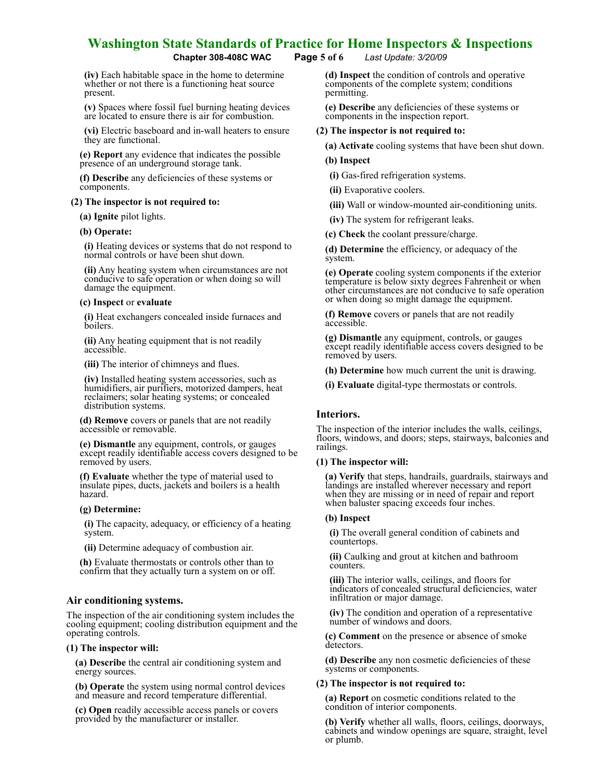(iv) Each habitable space in the home to determine whether or not there is a functioning heat source present.

(v) Spaces where fossil fuel burning heating devices are located to ensure there is air for combustion.

(vi) Electric baseboard and in-wall heaters to ensure they are functional.

(e) Report any evidence that indicates the possible presence of an underground storage tank.

(f) Describe any deficiencies of these systems or components.

#### (2) The inspector is not required to:

(a) Ignite pilot lights.

#### (b) Operate:

(i) Heating devices or systems that do not respond to normal controls or have been shut down.

(ii) Any heating system when circumstances are not conducive to safe operation or when doing so will damage the equipment.

#### (c) Inspect or evaluate

(i) Heat exchangers concealed inside furnaces and bóilers.

(ii) Any heating equipment that is not readily accessible.

(iii) The interior of chimneys and flues.

(iv) Installed heating system accessories, such as humidifiers, air purifiers, motorized dampers, heat reclaimers; solar heating systems; or concealed distribution systems.

(d) Remove covers or panels that are not readily accessible or removable.

(e) Dismantle any equipment, controls, or gauges except readily identifiable access covers designed to be removed by users.

(f) Evaluate whether the type of material used to insulate pipes, ducts, jackets and boilers is a health hazard.

#### (g) Determine:

(i) The capacity, adequacy, or efficiency of a heating system.

(ii) Determine adequacy of combustion air.

(h) Evaluate thermostats or controls other than to confirm that they actually turn a system on or off.

## Air conditioning systems.

The inspection of the air conditioning system includes the cooling equipment; cooling distribution equipment and the operating controls.

#### (1) The inspector will:

(a) Describe the central air conditioning system and energy sources.

(b) Operate the system using normal control devices and measure and record temperature differential.

(c) Open readily accessible access panels or covers provided by the manufacturer or installer.

Chapter 308-408C WAC Page 5 of 6 Last Update: 3/20/09

(d) Inspect the condition of controls and operative components of the complete system; conditions permitting.

(e) Describe any deficiencies of these systems or components in the inspection report.

#### (2) The inspector is not required to:

(a) Activate cooling systems that have been shut down.

#### (b) Inspect

(i) Gas-fired refrigeration systems.

(ii) Evaporative coolers.

(iii) Wall or window-mounted air-conditioning units.

(iv) The system for refrigerant leaks.

(c) Check the coolant pressure/charge.

(d) Determine the efficiency, or adequacy of the system.

(e) Operate cooling system components if the exterior temperature is below sixty degrees Fahrenheit or when other circumstances are not conducive to safe operation or when doing so might damage the equipment.

(f) Remove covers or panels that are not readily accessible.

(g) Dismantle any equipment, controls, or gauges except readily identifiable access covers designed to be removed by users.

(h) Determine how much current the unit is drawing.

(i) Evaluate digital-type thermostats or controls.

## Interiors.

The inspection of the interior includes the walls, ceilings, floors, windows, and doors; steps, stairways, balconies and railings.

#### (1) The inspector will:

(a) Verify that steps, handrails, guardrails, stairways and landings are installed wherever necessary and report when they are missing or in need of repair and report when baluster spacing exceeds four inches.

#### (b) Inspect

(i) The overall general condition of cabinets and countertops.

(ii) Caulking and grout at kitchen and bathroom counters.

(iii) The interior walls, ceilings, and floors for indicators of concealed structural deficiencies, water infiltration or major damage.

(iv) The condition and operation of a representative number of windows and doors.

(c) Comment on the presence or absence of smoke detectors.

(d) Describe any non cosmetic deficiencies of these systems or components.

#### (2) The inspector is not required to:

(a) Report on cosmetic conditions related to the condition of interior components.

(b) Verify whether all walls, floors, ceilings, doorways, cabinets and window openings are square, straight, level or plumb.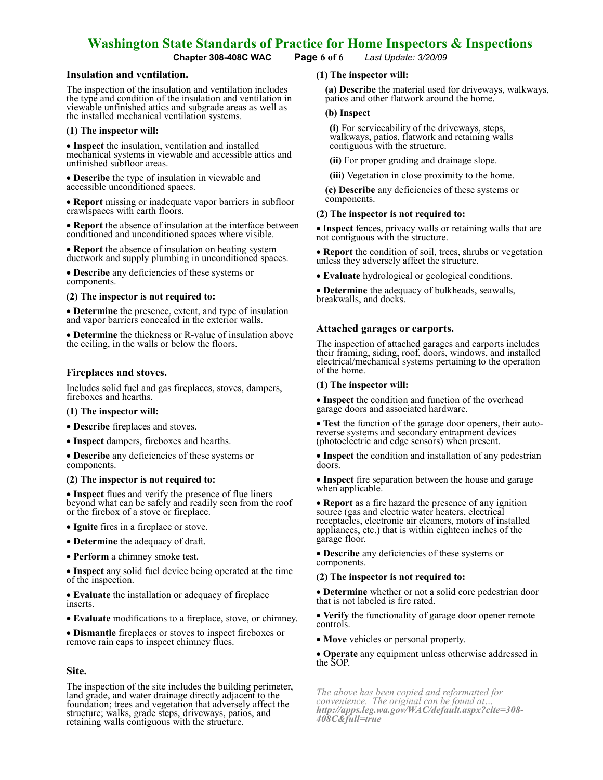Chapter 308-408C WAC Page 6 of 6 Last Update: 3/20/09

#### Insulation and ventilation.

The inspection of the insulation and ventilation includes the type and condition of the insulation and ventilation in viewable unfinished attics and subgrade areas as well as the installed mechanical ventilation systems.

#### (1) The inspector will:

• Inspect the insulation, ventilation and installed mechanical systems in viewable and accessible attics and unfinished subfloor areas.

• Describe the type of insulation in viewable and accessible unconditioned spaces.

• **Report** missing or inadequate vapor barriers in subfloor crawlspaces with earth floors.

• Report the absence of insulation at the interface between conditioned and unconditioned spaces where visible.

• Report the absence of insulation on heating system ductwork and supply plumbing in unconditioned spaces.

• Describe any deficiencies of these systems or components.

#### (2) The inspector is not required to:

• Determine the presence, extent, and type of insulation and vapor barriers concealed in the exterior walls.

• Determine the thickness or R-value of insulation above the ceiling, in the walls or below the floors.

## Fireplaces and stoves.

Includes solid fuel and gas fireplaces, stoves, dampers, fireboxes and hearths.

#### (1) The inspector will:

- Describe fireplaces and stoves.
- Inspect dampers, fireboxes and hearths.

• Describe any deficiencies of these systems or components.

## (2) The inspector is not required to:

• Inspect flues and verify the presence of flue liners beyond what can be safely and readily seen from the roof or the firebox of a stove or fireplace.

- Ignite fires in a fireplace or stove.
- Determine the adequacy of draft.
- Perform a chimney smoke test.

• Inspect any solid fuel device being operated at the time of the inspection.

• Evaluate the installation or adequacy of fireplace inserts.

• Evaluate modifications to a fireplace, stove, or chimney.

• Dismantle fireplaces or stoves to inspect fireboxes or remove rain caps to inspect chimney flues.

## Site.

The inspection of the site includes the building perimeter, land grade, and water drainage directly adjacent to the foundation; trees and vegetation that adversely affect the structure; walks, grade steps, driveways, patios, and retaining walls contiguous with the structure.

## (1) The inspector will:

(a) Describe the material used for driveways, walkways, patios and other flatwork around the home.

#### (b) Inspect

(i) For serviceability of the driveways, steps, walkways, patios, flatwork and retaining walls contiguous with the structure.

(ii) For proper grading and drainage slope.

(iii) Vegetation in close proximity to the home.

(c) Describe any deficiencies of these systems or components.

#### (2) The inspector is not required to:

• Inspect fences, privacy walls or retaining walls that are not contiguous with the structure.

• **Report** the condition of soil, trees, shrubs or vegetation unless they adversely affect the structure.

• Evaluate hydrological or geological conditions.

• Determine the adequacy of bulkheads, seawalls, breakwalls, and docks.

## Attached garages or carports.

The inspection of attached garages and carports includes their framing, siding, roof, doors, windows, and installed electrical/mechanical systems pertaining to the operation of the home.

#### (1) The inspector will:

• Inspect the condition and function of the overhead garage doors and associated hardware.

• Test the function of the garage door openers, their autoreverse systems and secondary entrapment devices (photoelectric and edge sensors) when present.

• Inspect the condition and installation of any pedestrian doors.

• Inspect fire separation between the house and garage when applicable.

• Report as a fire hazard the presence of any ignition source (gas and electric water heaters, electrical receptacles, electronic air cleaners, motors of installed appliances, etc.) that is within eighteen inches of the garage floor.

• Describe any deficiencies of these systems or components.

## (2) The inspector is not required to:

• Determine whether or not a solid core pedestrian door that is not labeled is fire rated.

• Verify the functionality of garage door opener remote controls.

• Move vehicles or personal property.

• Operate any equipment unless otherwise addressed in the SOP.

The above has been copied and reformatted for convenience. The original can be found at… http://apps.leg.wa.gov/WAC/default.aspx?cite=308- 408C&full=true